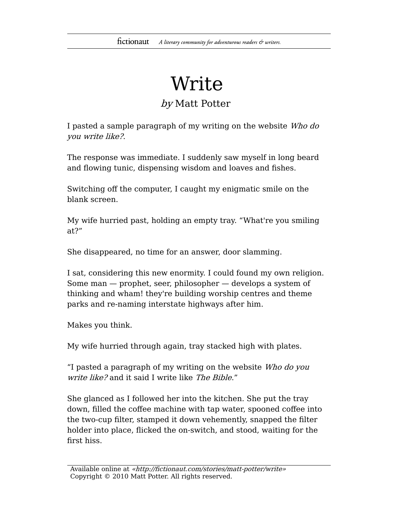## Write

## by Matt Potter

I pasted a sample paragraph of my writing on the website Who do you write like?.

The response was immediate. I suddenly saw myself in long beard and flowing tunic, dispensing wisdom and loaves and fishes.

Switching off the computer, I caught my enigmatic smile on the blank screen.

My wife hurried past, holding an empty tray. "What're you smiling at?"

She disappeared, no time for an answer, door slamming.

I sat, considering this new enormity. I could found my own religion. Some man — prophet, seer, philosopher — develops a system of thinking and wham! they're building worship centres and theme parks and re-naming interstate highways after him.

Makes you think.

My wife hurried through again, tray stacked high with plates.

"I pasted a paragraph of my writing on the website Who do you write like? and it said I write like The Bible."

She glanced as I followed her into the kitchen. She put the tray down, filled the coffee machine with tap water, spooned coffee into the two-cup filter, stamped it down vehemently, snapped the filter holder into place, flicked the on-switch, and stood, waiting for the first hiss.

Available online at «http://fictionaut.com/stories/matt-potter/write» Copyright © 2010 Matt Potter. All rights reserved.